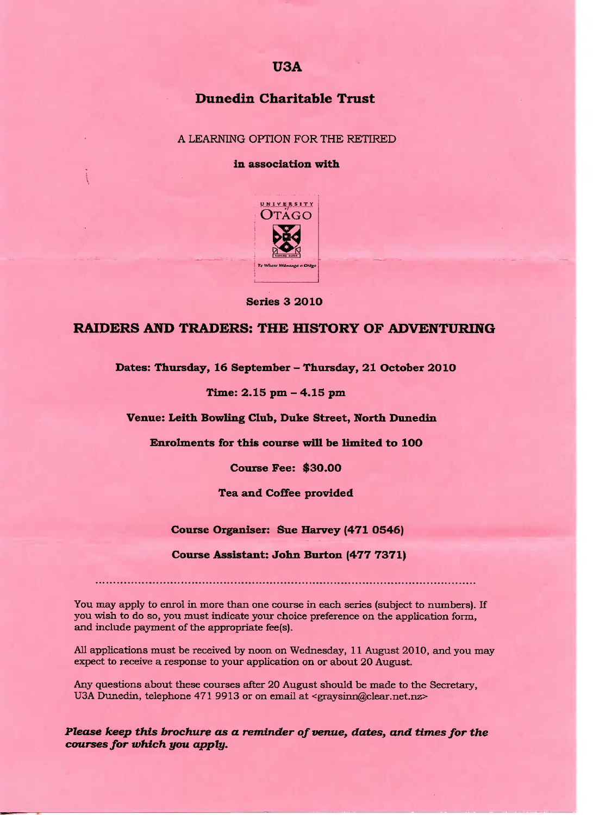# **USA**

# **Dunedin Charitable Trust**

## A LEARNING OPTION FOR THE RETIRED

## **In association with**



**Series 3 2O10**

# **RAIDERS AND TRADERS: THE HISTORY OF ADVENTURING**

**Dates: Thursday, 16 September - Thursday, 21 October 2O1O**

**Time: 2.15 pm - 4.15 pm**

**Venue: Leith Bowling Club, Duke Street, North Dunedin**

**Enrolments for this course will be limited to 10O**

**Course Fee: \$30.00**

**Tea and Coffee provided**

### **Course Organiser: Sue Harvey (471 O546)**

#### **Course Assistant: John Burton (477 7371)**

You may apply to enrol in more than one course in each series (subject to numbers). If you wish to do so, you must indicate your choice preference on the application form, and include payment of the appropriate fee(s).

All applications must be received by noon on Wednesday, 11 August 2010, and you may expect to receive a response to your application on or about 20 August.

Any questions about these courses after 20 August should be made to the Secretary, U3A Dunedin, telephone 471 9913 or on email at <graysinn@clear.net.nz>

*Please keep this brochure as a reminder of venue, dates, and times for the courses for which you apply.*